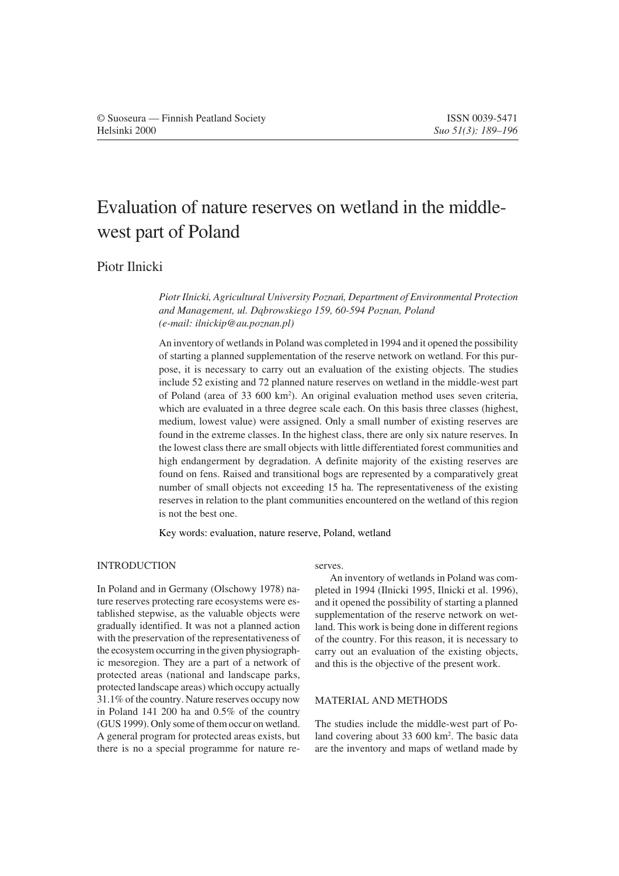# Evaluation of nature reserves on wetland in the middlewest part of Poland

# Piotr Ilnicki

*Piotr Ilnicki, Agricultural University Poznan, Department of Environmental Protection and Management, ul. Dabrowskiego 159, 60-594 Poznan, Poland (e-mail: ilnickip@au.poznan.pl)*

An inventory of wetlands in Poland was completed in 1994 and it opened the possibility of starting a planned supplementation of the reserve network on wetland. For this purpose, it is necessary to carry out an evaluation of the existing objects. The studies include 52 existing and 72 planned nature reserves on wetland in the middle-west part of Poland (area of 33 600 km2 ). An original evaluation method uses seven criteria, which are evaluated in a three degree scale each. On this basis three classes (highest, medium, lowest value) were assigned. Only a small number of existing reserves are found in the extreme classes. In the highest class, there are only six nature reserves. In the lowest class there are small objects with little differentiated forest communities and high endangerment by degradation. A definite majority of the existing reserves are found on fens. Raised and transitional bogs are represented by a comparatively great number of small objects not exceeding 15 ha. The representativeness of the existing reserves in relation to the plant communities encountered on the wetland of this region is not the best one.

Key words: evaluation, nature reserve, Poland, wetland

# INTRODUCTION

In Poland and in Germany (Olschowy 1978) nature reserves protecting rare ecosystems were established stepwise, as the valuable objects were gradually identified. It was not a planned action with the preservation of the representativeness of the ecosystem occurring in the given physiographic mesoregion. They are a part of a network of protected areas (national and landscape parks, protected landscape areas) which occupy actually 31.1% of the country. Nature reserves occupy now in Poland 141 200 ha and 0.5% of the country (GUS 1999). Only some of them occur on wetland. A general program for protected areas exists, but there is no a special programme for nature reserves.

An inventory of wetlands in Poland was completed in 1994 (Ilnicki 1995, Ilnicki et al. 1996), and it opened the possibility of starting a planned supplementation of the reserve network on wetland. This work is being done in different regions of the country. For this reason, it is necessary to carry out an evaluation of the existing objects, and this is the objective of the present work.

# MATERIAL AND METHODS

The studies include the middle-west part of Poland covering about 33 600 km<sup>2</sup>. The basic data are the inventory and maps of wetland made by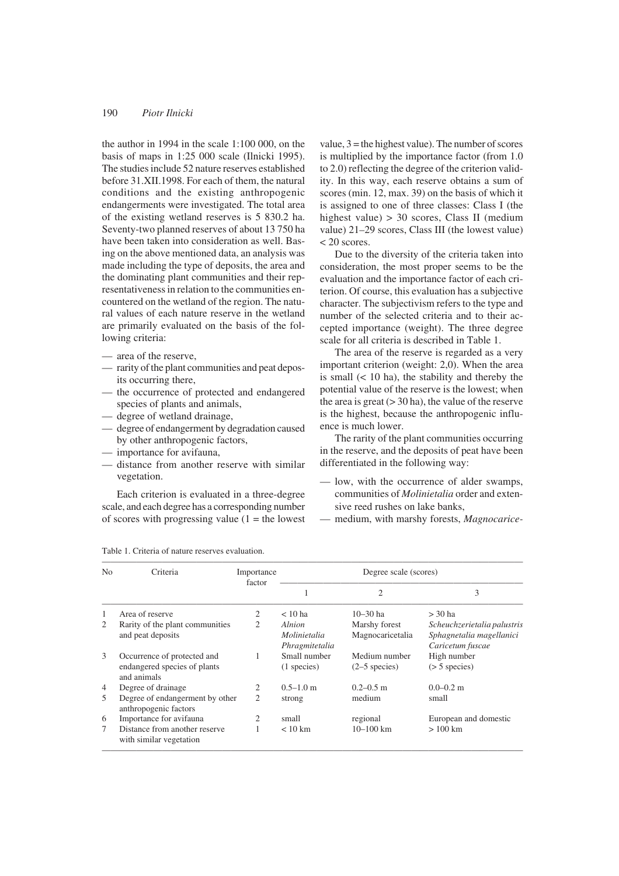the author in 1994 in the scale 1:100 000, on the basis of maps in 1:25 000 scale (Ilnicki 1995). The studies include 52 nature reserves established before 31.XII.1998. For each of them, the natural conditions and the existing anthropogenic endangerments were investigated. The total area of the existing wetland reserves is 5 830.2 ha. Seventy-two planned reserves of about 13 750 ha have been taken into consideration as well. Basing on the above mentioned data, an analysis was made including the type of deposits, the area and the dominating plant communities and their representativeness in relation to the communities encountered on the wetland of the region. The natural values of each nature reserve in the wetland are primarily evaluated on the basis of the following criteria:

- area of the reserve,
- rarity of the plant communities and peat deposits occurring there,
- the occurrence of protected and endangered species of plants and animals,
- degree of wetland drainage,
- degree of endangerment by degradation caused by other anthropogenic factors,
- importance for avifauna,
- distance from another reserve with similar vegetation.

Each criterion is evaluated in a three-degree scale, and each degree has a corresponding number of scores with progressing value  $(1 =$  the lowest value,  $3$  = the highest value). The number of scores is multiplied by the importance factor (from 1.0 to 2.0) reflecting the degree of the criterion validity. In this way, each reserve obtains a sum of scores (min. 12, max. 39) on the basis of which it is assigned to one of three classes: Class I (the highest value) > 30 scores, Class II (medium value) 21–29 scores, Class III (the lowest value) < 20 scores.

Due to the diversity of the criteria taken into consideration, the most proper seems to be the evaluation and the importance factor of each criterion. Of course, this evaluation has a subjective character. The subjectivism refers to the type and number of the selected criteria and to their accepted importance (weight). The three degree scale for all criteria is described in Table 1.

The area of the reserve is regarded as a very important criterion (weight: 2,0). When the area is small  $(< 10$  ha), the stability and thereby the potential value of the reserve is the lowest; when the area is great  $(> 30$  ha), the value of the reserve is the highest, because the anthropogenic influence is much lower.

The rarity of the plant communities occurring in the reserve, and the deposits of peat have been differentiated in the following way:

- low, with the occurrence of alder swamps, communities of *Molinietalia* order and extensive reed rushes on lake banks,
- medium, with marshy forests, *Magnocarice-*

| No             | Criteria                                                                   | Importance<br>factor | Degree scale (scores)          |                                  |                                              |  |  |  |  |
|----------------|----------------------------------------------------------------------------|----------------------|--------------------------------|----------------------------------|----------------------------------------------|--|--|--|--|
|                |                                                                            |                      | 1                              | $\overline{c}$                   | 3                                            |  |  |  |  |
| 1              | Area of reserve                                                            | 2                    | $< 10$ ha                      | $10 - 30$ ha                     | $>$ 30 ha                                    |  |  |  |  |
| 2              | Rarity of the plant communities                                            | 2                    | Alnion                         | Marshy forest                    | Scheuchzerietalia palustris                  |  |  |  |  |
|                | and peat deposits                                                          |                      | Molinietalia<br>Phragmitetalia | Magnocaricetalia                 | Sphagnetalia magellanici<br>Caricetum fuscae |  |  |  |  |
| 3              | Occurrence of protected and<br>endangered species of plants<br>and animals |                      | Small number<br>(1 species)    | Medium number<br>$(2-5$ species) | High number<br>$($ > 5 species)              |  |  |  |  |
| $\overline{4}$ | Degree of drainage                                                         | 2                    | $0.5 - 1.0$ m                  | $0.2 - 0.5$ m                    | $0.0 - 0.2$ m                                |  |  |  |  |
| 5              | Degree of endangerment by other<br>anthropogenic factors                   | 2                    | strong                         | medium                           | small                                        |  |  |  |  |
| 6              | Importance for avifauna                                                    | 2                    | small                          | regional                         | European and domestic                        |  |  |  |  |
| 7              | Distance from another reserve<br>with similar vegetation                   |                      | $< 10 \text{ km}$              | $10 - 100$ km                    | $>100$ km                                    |  |  |  |  |

Table 1. Criteria of nature reserves evaluation.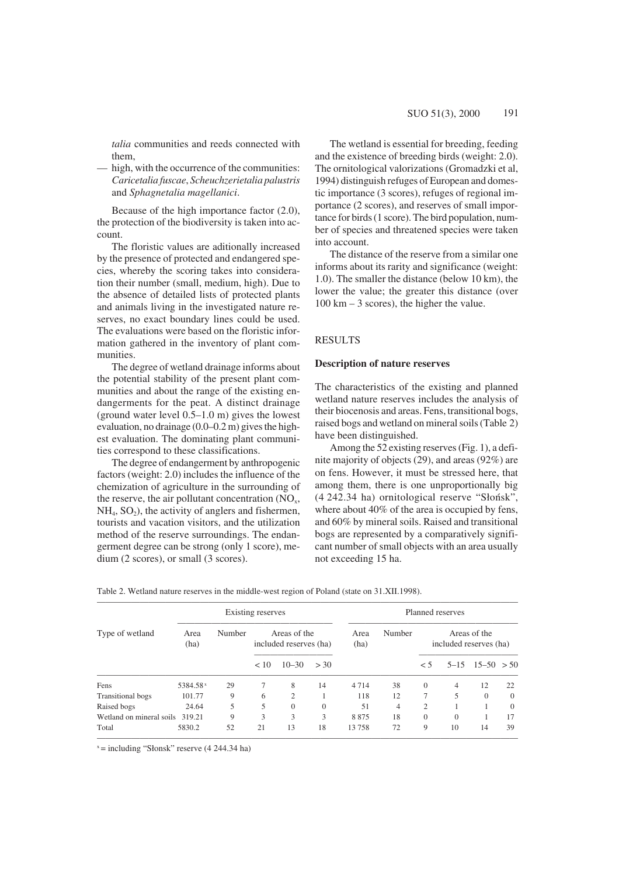*talia* communities and reeds connected with them,

— high, with the occurrence of the communities: *Caricetalia fuscae*, *Scheuchzerietalia palustris* and *Sphagnetalia magellanici*.

Because of the high importance factor (2.0), the protection of the biodiversity is taken into account.

The floristic values are aditionally increased by the presence of protected and endangered species, whereby the scoring takes into consideration their number (small, medium, high). Due to the absence of detailed lists of protected plants and animals living in the investigated nature reserves, no exact boundary lines could be used. The evaluations were based on the floristic information gathered in the inventory of plant communities.

The degree of wetland drainage informs about the potential stability of the present plant communities and about the range of the existing endangerments for the peat. A distinct drainage (ground water level 0.5–1.0 m) gives the lowest evaluation, no drainage (0.0–0.2 m) gives the highest evaluation. The dominating plant communities correspond to these classifications.

The degree of endangerment by anthropogenic factors (weight: 2.0) includes the influence of the chemization of agriculture in the surrounding of the reserve, the air pollutant concentration  $(NO<sub>x</sub>,$  $NH<sub>4</sub>, SO<sub>2</sub>$ ), the activity of anglers and fishermen, tourists and vacation visitors, and the utilization method of the reserve surroundings. The endangerment degree can be strong (only 1 score), medium (2 scores), or small (3 scores).

The wetland is essential for breeding, feeding and the existence of breeding birds (weight: 2.0). The ornitological valorizations (Gromadzki et al, 1994) distinguish refuges of European and domestic importance (3 scores), refuges of regional importance (2 scores), and reserves of small importance for birds (1 score). The bird population, number of species and threatened species were taken into account.

The distance of the reserve from a similar one informs about its rarity and significance (weight: 1.0). The smaller the distance (below 10 km), the lower the value; the greater this distance (over 100 km – 3 scores), the higher the value.

# RESULTS

### **Description of nature reserves**

The characteristics of the existing and planned wetland nature reserves includes the analysis of their biocenosis and areas. Fens, transitional bogs, raised bogs and wetland on mineral soils (Table 2) have been distinguished.

Among the 52 existing reserves (Fig. 1), a definite majority of objects (29), and areas (92%) are on fens. However, it must be stressed here, that among them, there is one unproportionally big (4 242.34 ha) ornitological reserve "Slonsk", where about 40% of the area is occupied by fens, and 60% by mineral soils. Raised and transitional bogs are represented by a comparatively significant number of small objects with an area usually not exceeding 15 ha.

|                                 |                      | Existing reserves | Planned reserves |                |              |        |                                        |              |          |                      |          |                                        |  |  |
|---------------------------------|----------------------|-------------------|------------------|----------------|--------------|--------|----------------------------------------|--------------|----------|----------------------|----------|----------------------------------------|--|--|
| Type of wetland                 | Area<br>(ha)         |                   |                  |                |              | Number | Areas of the<br>included reserves (ha) |              |          | Area<br>(ha)         | Number   | Areas of the<br>included reserves (ha) |  |  |
|                                 |                      |                   | < 10             | $10 - 30$      | > 30         |        |                                        | $<$ 5        |          | $5-15$ $15-50$ $>50$ |          |                                        |  |  |
| Fens                            | 5384.58 <sup>x</sup> | 29                |                  | 8              | 14           | 4714   | 38                                     | $\theta$     | 4        | 12                   | 22       |                                        |  |  |
| <b>Transitional</b> bogs        | 101.77               | 9                 | 6                | $\mathfrak{2}$ |              | 118    | 12                                     | 7            | 5        | $\Omega$             | $\theta$ |                                        |  |  |
| Raised bogs                     | 24.64                | 5                 | 5                | $\theta$       | $\mathbf{0}$ | 51     | 4                                      | 2            |          |                      | $\Omega$ |                                        |  |  |
| Wetland on mineral soils 319.21 |                      | 9                 | 3                | 3              | 3            | 8875   | 18                                     | $\mathbf{0}$ | $\Omega$ |                      | 17       |                                        |  |  |
| Total                           | 5830.2               | 52                | 21               | 13             | 18           | 13758  | 72                                     | 9            | 10       | 14                   | 39       |                                        |  |  |

Table 2. Wetland nature reserves in the middle-west region of Poland (state on 31.XII.1998).

 $x =$  including "Słonsk" reserve (4 244.34 ha)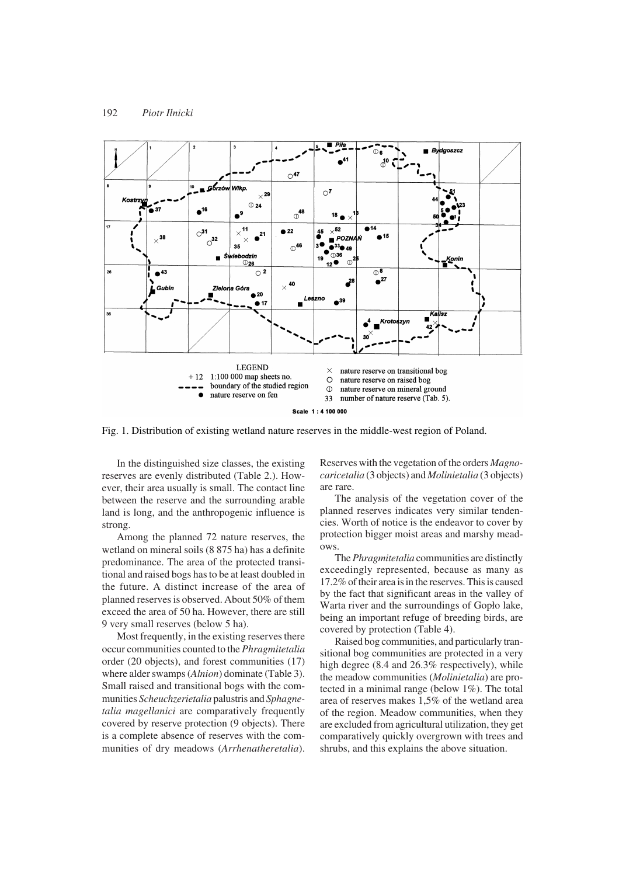

Fig. 1. Distribution of existing wetland nature reserves in the middle-west region of Poland.

In the distinguished size classes, the existing reserves are evenly distributed (Table 2.). However, their area usually is small. The contact line between the reserve and the surrounding arable land is long, and the anthropogenic influence is strong.

Among the planned 72 nature reserves, the wetland on mineral soils (8 875 ha) has a definite predominance. The area of the protected transitional and raised bogs has to be at least doubled in the future. A distinct increase of the area of planned reserves is observed. About 50% of them exceed the area of 50 ha. However, there are still 9 very small reserves (below 5 ha).

Most frequently, in the existing reserves there occur communities counted to the *Phragmitetalia* order (20 objects), and forest communities (17) where alder swamps (*Alnion*) dominate (Table 3). Small raised and transitional bogs with the communities *Scheuchzerietalia* palustris and *Sphagnetalia magellanici* are comparatively frequently covered by reserve protection (9 objects). There is a complete absence of reserves with the communities of dry meadows (*Arrhenatheretalia*). Reserves with the vegetation of the orders *Magnocaricetalia* (3 objects) and *Molinietalia* (3 objects) are rare.

The analysis of the vegetation cover of the planned reserves indicates very similar tendencies. Worth of notice is the endeavor to cover by protection bigger moist areas and marshy meadows.

The *Phragmitetalia* communities are distinctly exceedingly represented, because as many as 17.2% of their area is in the reserves. This is caused by the fact that significant areas in the valley of Warta river and the surroundings of Goplo lake, being an important refuge of breeding birds, are covered by protection (Table 4).

Raised bog communities, and particularly transitional bog communities are protected in a very high degree (8.4 and 26.3% respectively), while the meadow communities (*Molinietalia*) are protected in a minimal range (below 1%). The total area of reserves makes 1,5% of the wetland area of the region. Meadow communities, when they are excluded from agricultural utilization, they get comparatively quickly overgrown with trees and shrubs, and this explains the above situation.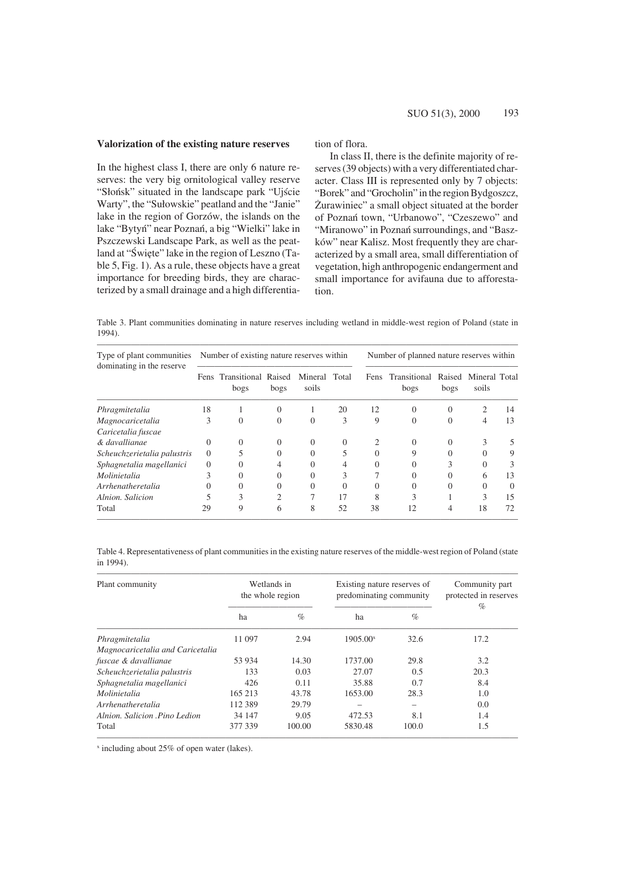## **Valorization of the existing nature reserves**

In the highest class I, there are only 6 nature reserves: the very big ornitological valley reserve "Slonsk" situated in the landscape park "Ujscie Warty", the "Sulowskie" peatland and the "Janie" lake in the region of Gorzów, the islands on the lake "Bytyn" near Poznan, a big "Wielki" lake in Pszczewski Landscape Park, as well as the peatland at "Swiete" lake in the region of Leszno (Table 5, Fig. 1). As a rule, these objects have a great importance for breeding birds, they are characterized by a small drainage and a high differentiation of flora.

In class II, there is the definite majority of reserves (39 objects) with a very differentiated character. Class III is represented only by 7 objects: "Borek" and "Grocholin" in the region Bydgoszcz, Zurawiniec" a small object situated at the border of Poznań town, "Urbanowo", "Czeszewo" and "Miranowo" in Poznań surroundings, and "Baszków" near Kalisz. Most frequently they are characterized by a small area, small differentiation of vegetation, high anthropogenic endangerment and small importance for avifauna due to afforestation.

Table 3. Plant communities dominating in nature reserves including wetland in middle-west region of Poland (state in 1994).

| Type of plant communities<br>dominating in the reserve |          | Number of existing nature reserves within |                |                        |    | Number of planned nature reserves within |                      |                |                        |                  |  |  |
|--------------------------------------------------------|----------|-------------------------------------------|----------------|------------------------|----|------------------------------------------|----------------------|----------------|------------------------|------------------|--|--|
|                                                        |          | Fens Transitional Raised<br>bogs          | bogs           | Mineral Total<br>soils |    | <b>Fens</b>                              | Transitional<br>bogs | Raised<br>bogs | Mineral Total<br>soils |                  |  |  |
| Phragmitetalia                                         | 18       |                                           | $\Omega$       | 1                      | 20 | 12                                       | $\overline{0}$       | $\Omega$       | 2                      | 14               |  |  |
| Magnocaricetalia                                       | 3        | $\Omega$                                  | $\Omega$       | $\Omega$               | 3  | 9                                        | $\theta$             | $\Omega$       | 4                      | 13               |  |  |
| Caricetalia fuscae                                     |          |                                           |                |                        |    |                                          |                      |                |                        |                  |  |  |
| & davallianae                                          | $\Omega$ | 0                                         | $\Omega$       | 0                      | 0  |                                          | 0                    | $\Omega$       | 3                      |                  |  |  |
| Scheuchzerietalia palustris                            | $\Omega$ | 5                                         | $\Omega$       | $\theta$               | 5  | $\Omega$                                 | 9                    | $\Omega$       | $\Omega$               | 9                |  |  |
| Sphagnetalia magellanici                               | $\Omega$ | $\Omega$                                  | 4              | 0                      |    | 0                                        | 0                    | 3              | $\Omega$               | 3                |  |  |
| Molinietalia                                           | 3        | $\Omega$                                  | $\Omega$       | 0                      | 3  |                                          | 0                    | $\Omega$       | 6                      | 13               |  |  |
| Arrhenatheretalia                                      | 0        | 0                                         | $\Omega$       | $\Omega$               | 0  | 0                                        | 0                    | $\Omega$       | $\Omega$               | $\left( \right)$ |  |  |
| Alnion, Salicion                                       |          | 3                                         | $\overline{c}$ | 7                      | 17 | 8                                        | 3                    |                | 3                      | 15               |  |  |
| Total                                                  | 29       | 9                                         | 6              | 8                      | 52 | 38                                       | 12                   | 4              | 18                     | 72               |  |  |

Table 4. Representativeness of plant communities in the existing nature reserves of the middle-west region of Poland (state in 1994).

| Plant community                  | Wetlands in<br>the whole region |        | Existing nature reserves of<br>predominating community | Community part<br>protected in reserves<br>$\%$ |      |
|----------------------------------|---------------------------------|--------|--------------------------------------------------------|-------------------------------------------------|------|
|                                  | ha                              | $\%$   | ha                                                     | $\%$                                            |      |
| Phragmitetalia                   | 11 097                          | 2.94   | $1905.00^x$                                            | 32.6                                            | 17.2 |
| Magnocaricetalia and Caricetalia |                                 |        |                                                        |                                                 |      |
| fuscae & davallianae             | 53 934                          | 14.30  | 1737.00                                                | 29.8                                            | 3.2  |
| Scheuchzerietalia palustris      | 133                             | 0.03   | 27.07                                                  | 0.5                                             | 20.3 |
| Sphagnetalia magellanici         | 426                             | 0.11   | 35.88                                                  | 0.7                                             | 8.4  |
| Molinietalia                     | 165 213                         | 43.78  | 1653.00                                                | 28.3                                            | 1.0  |
| Arrhenatheretalia                | 112 389                         | 29.79  |                                                        |                                                 | 0.0  |
| Alnion, Salicion Pino Ledion     | 34 147                          | 9.05   | 472.53                                                 | 8.1                                             | 1.4  |
| Total                            | 377 339                         | 100.00 | 5830.48                                                | 100.0                                           | 1.5  |

x including about 25% of open water (lakes).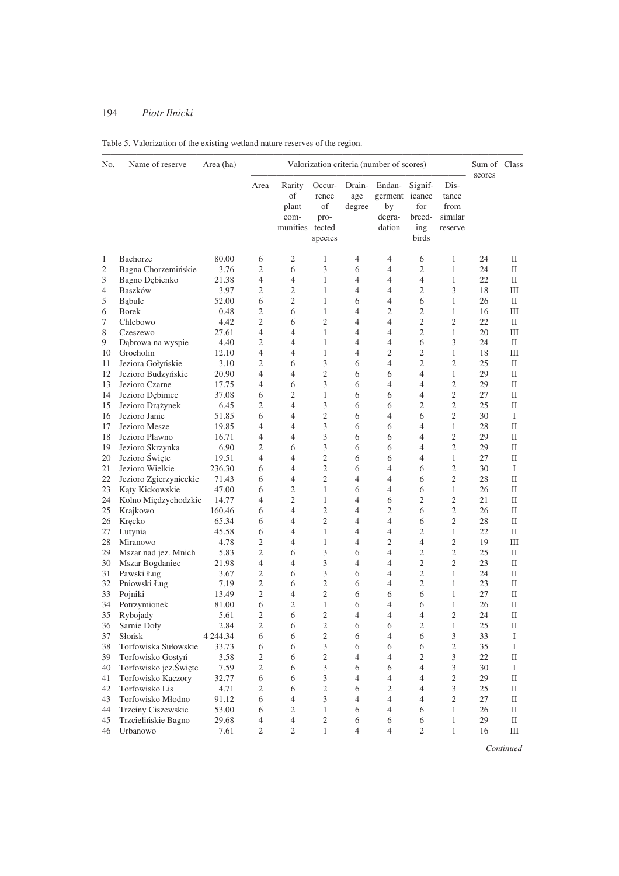| No. | Name of reserve        | Area (ha)   |                |                                                  |                                          |                         | Valorization criteria (number of scores)           |                                          |                                             | Sum of Class<br>scores |             |
|-----|------------------------|-------------|----------------|--------------------------------------------------|------------------------------------------|-------------------------|----------------------------------------------------|------------------------------------------|---------------------------------------------|------------------------|-------------|
|     |                        |             | Area           | Rarity<br>οf<br>plant<br>com-<br>munities tected | Occur-<br>rence<br>of<br>pro-<br>species | Drain-<br>age<br>degree | Endan-<br>germent icance<br>by<br>degra-<br>dation | Signif-<br>for<br>breed-<br>ing<br>birds | Dis-<br>tance<br>from<br>similar<br>reserve |                        |             |
| 1   | Bachorze               | 80.00       | 6              | 2                                                | 1                                        | $\overline{4}$          | 4                                                  | 6                                        | 1                                           | 24                     | П           |
| 2   | Bagna Chorzemińskie    | 3.76        | $\overline{c}$ | 6                                                | 3                                        | 6                       | 4                                                  | $\mathfrak{2}$                           | $\mathbf{1}$                                | 24                     | П           |
| 3   | Bagno Dębienko         | 21.38       | $\overline{4}$ | $\overline{4}$                                   | $\mathbf{1}$                             | 4                       | 4                                                  | $\overline{4}$                           | 1                                           | 22                     | П           |
| 4   | Baszków                | 3.97        | 2              | $\overline{2}$                                   | 1                                        | 4                       | $\overline{4}$                                     | 2                                        | 3                                           | 18                     | Ш           |
| 5   | Babule                 | 52.00       | 6              | $\sqrt{2}$                                       | 1                                        | 6                       | 4                                                  | 6                                        | 1                                           | 26                     | П           |
| 6   | <b>Borek</b>           | 0.48        | $\overline{c}$ | 6                                                | $\mathbf{1}$                             | 4                       | 2                                                  | $\overline{2}$                           | 1                                           | 16                     | Ш           |
| 7   | Chlebowo               | 4.42        | $\overline{c}$ | 6                                                | $\mathfrak{2}$                           | 4                       | 4                                                  | $\overline{c}$                           | $\overline{c}$                              | 22                     | $\rm II$    |
| 8   | Czeszewo               | 27.61       | 4              | $\overline{4}$                                   | 1                                        | 4                       | 4                                                  | 2                                        | 1                                           | 20                     | Ш           |
| 9   | Dąbrowa na wyspie      | 4.40        | $\overline{c}$ | $\overline{4}$                                   | $\mathbf{1}$                             | 4                       | 4                                                  | 6                                        | 3                                           | 24                     | П           |
| 10  | Grocholin              | 12.10       | $\overline{4}$ | $\overline{4}$                                   | 1                                        | 4                       | 2                                                  | 2                                        | 1                                           | 18                     | Ш           |
| 11  | Jeziora Gołyńskie      | 3.10        | 2              | 6                                                | 3                                        | 6                       | $\overline{4}$                                     | $\overline{c}$                           | 2                                           | 25                     | П           |
| 12  | Jezioro Budzyńskie     | 20.90       | 4              | $\overline{4}$                                   | $\overline{2}$                           | 6                       | 6                                                  | 4                                        | 1                                           | 29                     | П           |
| 13  | Jezioro Czarne         | 17.75       | 4              | 6                                                | 3                                        | 6                       | 4                                                  | 4                                        | $\overline{c}$                              | 29                     | П           |
| 14  | Jezioro Debiniec       | 37.08       | 6              | $\mathfrak{2}$                                   | 1                                        | 6                       | 6                                                  | 4                                        | 2                                           | 27                     | П           |
| 15  | Jezioro Drążynek       | 6.45        | $\overline{c}$ | $\overline{4}$                                   | 3                                        | 6                       | 6                                                  | 2                                        | $\mathfrak{2}$                              | 25                     | П           |
| 16  | Jezioro Janie          | 51.85       | 6              | $\overline{4}$                                   | $\overline{2}$                           | 6                       | 4                                                  | 6                                        | 2                                           | 30                     | Ι           |
| 17  | Jezioro Mesze          | 19.85       | 4              | $\overline{4}$                                   | 3                                        | 6                       | 6                                                  | 4                                        | 1                                           | 28                     | П           |
| 18  | Jezioro Pławno         | 16.71       | 4              | $\overline{4}$                                   | 3                                        | 6                       | 6                                                  | 4                                        | $\overline{c}$                              | 29                     | П           |
| 19  | Jezioro Skrzynka       | 6.90        | $\overline{c}$ | 6                                                | 3                                        | 6                       | 6                                                  | 4                                        | 2                                           | 29                     | П           |
| 20  | Jezioro Święte         | 19.51       | 4              | $\overline{4}$                                   | $\mathfrak{2}$                           | 6                       | 6                                                  | 4                                        | 1                                           | 27                     | П           |
| 21  | Jezioro Wielkie        | 236.30      | 6              | $\overline{4}$                                   | $\overline{2}$                           | 6                       | 4                                                  | 6                                        | $\overline{c}$                              | 30                     | Ι           |
| 22  | Jezioro Zgierzynieckie | 71.43       | 6              | $\overline{4}$                                   | $\overline{2}$                           | 4                       | 4                                                  | 6                                        | $\overline{c}$                              | 28                     | П           |
| 23  | Kąty Kickowskie        | 47.00       | 6              | 2                                                | 1                                        | 6                       | 4                                                  | 6                                        | 1                                           | 26                     | П           |
| 24  | Kolno Międzychodzkie   | 14.77       | $\overline{4}$ | $\sqrt{2}$                                       | 1                                        | 4                       | 6                                                  | 2                                        | $\overline{c}$                              | 21                     | П           |
| 25  | Krajkowo               | 160.46      | 6              | $\overline{4}$                                   | $\overline{2}$                           | 4                       | $\mathfrak{2}$                                     | 6                                        | $\overline{c}$                              | 26                     | П           |
| 26  | Kręcko                 | 65.34       | 6              | $\overline{4}$                                   | 2                                        | 4                       | 4                                                  | 6                                        | 2                                           | 28                     | П           |
| 27  | Lutynia                | 45.58       | 6              | $\overline{4}$                                   | 1                                        | 4                       | 4                                                  | $\overline{c}$                           | 1                                           | 22                     | $_{\rm II}$ |
| 28  | Miranowo               | 4.78        | $\overline{c}$ | $\overline{4}$                                   | 1                                        | 4                       | 2                                                  | 4                                        | 2                                           | 19                     | Ш           |
| 29  | Mszar nad jez. Mnich   | 5.83        | $\overline{c}$ | 6                                                | 3                                        | 6                       | 4                                                  | 2                                        | 2                                           | 25                     | П           |
| 30  | Mszar Bogdaniec        | 21.98       | $\overline{4}$ | $\overline{4}$                                   | 3                                        | 4                       | 4                                                  | 2                                        | 2                                           | 23                     | П           |
| 31  | Pawski Ług             | 3.67        | $\overline{c}$ | 6                                                | 3                                        | 6                       | 4                                                  | $\overline{2}$                           | $\mathbf{1}$                                | 24                     | П           |
| 32  | Pniowski Ług           | 7.19        | $\overline{c}$ | 6                                                | $\mathfrak{2}$                           | 6                       | 4                                                  | $\overline{c}$                           | 1                                           | 23                     | П           |
| 33  | Pojniki                | 13.49       | $\overline{c}$ | 4                                                | $\mathfrak{2}$                           | 6                       | 6                                                  | 6                                        | 1                                           | 27                     | П           |
| 34  | Potrzymionek           | 81.00       | 6              | $\mathfrak{2}$                                   | $\mathbf{1}$                             | 6                       | 4                                                  | 6                                        | 1                                           | 26                     | П           |
| 35  | Rybojady               | 5.61        | $\overline{c}$ | 6                                                | $\overline{c}$                           | 4                       | 4                                                  | 4                                        | $\overline{c}$                              | 24                     | П           |
| 36  | Sarnie Doły            | 2.84        | $\mathfrak{2}$ | 6                                                | $\overline{c}$                           | 6                       | 6                                                  | $\mathfrak{2}$                           | $\mathbf{1}$                                | 25                     | П           |
| 37  | Słońsk                 | 4 2 4 4 .34 | 6              | 6                                                | $\sqrt{2}$                               | 6                       | 4                                                  | 6                                        | 3                                           | 33                     | Ι           |
| 38  | Torfowiska Sułowskie   | 33.73       | 6              | 6                                                | 3                                        | 6                       | 6                                                  | 6                                        | $\sqrt{2}$                                  | 35                     | $\bf{I}$    |
| 39  | Torfowisko Gostyń      | 3.58        | 2              | 6                                                | $\sqrt{2}$                               | $\overline{4}$          | 4                                                  | 2                                        | 3                                           | 22                     | П           |
| 40  | Torfowisko jez.Święte  | 7.59        | $\mathfrak{2}$ | 6                                                | $\mathfrak{Z}$                           | 6                       | 6                                                  | $\overline{4}$                           | 3                                           | 30                     | Ι           |
| 41  | Torfowisko Kaczory     | 32.77       | 6              | 6                                                | $\mathfrak{Z}$                           | $\overline{4}$          | 4                                                  | 4                                        | $\mathfrak{2}$                              | 29                     | П           |
| 42  | Torfowisko Lis         | 4.71        | 2              | 6                                                | $\sqrt{2}$                               | 6                       | 2                                                  | 4                                        | 3                                           | 25                     | П           |
| 43  | Torfowisko Młodno      | 91.12       | $\sqrt{6}$     | $\overline{4}$                                   | $\mathfrak{Z}$                           | 4                       | $\overline{4}$                                     | $\overline{4}$                           | $\mathfrak{2}$                              | 27                     | П           |
| 44  | Trzciny Ciszewskie     | 53.00       | 6              | $\sqrt{2}$                                       | $\mathbf{1}$                             | 6                       | $\overline{4}$                                     | 6                                        | 1                                           | 26                     | П           |
| 45  | Trzcielińskie Bagno    | 29.68       | 4              | 4                                                | $\mathfrak{2}$                           | 6                       | 6                                                  | 6                                        | $\mathbf{1}$                                | 29                     | П           |
| 46  | Urbanowo               | 7.61        | $\sqrt{2}$     | $\mathfrak{2}$                                   | $\mathbf{1}$                             | $\overline{4}$          | $\overline{4}$                                     | 2                                        | 1                                           | 16                     | $\rm III$   |

# Table 5. Valorization of the existing wetland nature reserves of the region.

*Continued*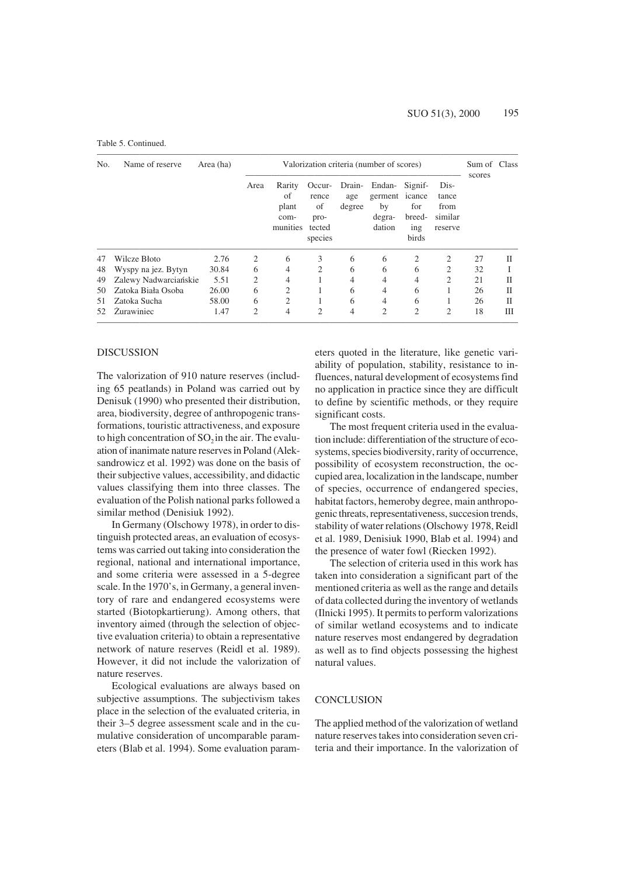#### Table 5. Continued.

| No. | Name of reserve       | Area (ha) | Valorization criteria (number of scores) |                                           |                                                    |                         |                                                            |                               |                                             |        | Sum of Class |
|-----|-----------------------|-----------|------------------------------------------|-------------------------------------------|----------------------------------------------------|-------------------------|------------------------------------------------------------|-------------------------------|---------------------------------------------|--------|--------------|
|     |                       |           | Area                                     | Rarity<br>of<br>plant<br>com-<br>munities | Occur-<br>rence<br>of<br>pro-<br>tected<br>species | Drain-<br>age<br>degree | Endan- Signif-<br>germent icance<br>by<br>degra-<br>dation | for<br>breed-<br>ing<br>birds | Dis-<br>tance<br>from<br>similar<br>reserve | scores |              |
| 47  | Wilcze Błoto          | 2.76      | 2                                        | 6                                         | 3                                                  | 6                       | 6                                                          | 2                             | 2                                           | 27     | П            |
| 48  | Wyspy na jez. Bytyn   | 30.84     | 6                                        | 4                                         | 2                                                  | 6                       | 6                                                          | 6                             | $\overline{2}$                              | 32     |              |
| 49  | Zalewy Nadwarciańskie | 5.51      | 2                                        | 4                                         |                                                    | 4                       | 4                                                          | 4                             | $\overline{2}$                              | 21     | П            |
| 50  | Zatoka Biała Osoba    | 26.00     | 6                                        | $\overline{2}$                            |                                                    | 6                       | 4                                                          | 6                             |                                             | 26     | П            |
| 51  | Zatoka Sucha          | 58.00     | 6                                        | 2                                         |                                                    | 6                       | 4                                                          | 6                             | 1                                           | 26     | H            |
| 52  | <b>Zurawiniec</b>     | 1.47      | $\overline{c}$                           | 4                                         | 2                                                  | 4                       | $\mathfrak{D}$                                             | $\overline{2}$                | $\overline{c}$                              | 18     | Ш            |

#### DISCUSSION

The valorization of 910 nature reserves (including 65 peatlands) in Poland was carried out by Denisuk (1990) who presented their distribution, area, biodiversity, degree of anthropogenic transformations, touristic attractiveness, and exposure to high concentration of  $SO<sub>2</sub>$  in the air. The evaluation of inanimate nature reserves in Poland (Aleksandrowicz et al. 1992) was done on the basis of their subjective values, accessibility, and didactic values classifying them into three classes. The evaluation of the Polish national parks followed a similar method (Denisiuk 1992).

In Germany (Olschowy 1978), in order to distinguish protected areas, an evaluation of ecosystems was carried out taking into consideration the regional, national and international importance, and some criteria were assessed in a 5-degree scale. In the 1970's, in Germany, a general inventory of rare and endangered ecosystems were started (Biotopkartierung). Among others, that inventory aimed (through the selection of objective evaluation criteria) to obtain a representative network of nature reserves (Reidl et al. 1989). However, it did not include the valorization of nature reserves.

Ecological evaluations are always based on subjective assumptions. The subjectivism takes place in the selection of the evaluated criteria, in their 3–5 degree assessment scale and in the cumulative consideration of uncomparable parameters (Blab et al. 1994). Some evaluation parameters quoted in the literature, like genetic variability of population, stability, resistance to influences, natural development of ecosystems find no application in practice since they are difficult to define by scientific methods, or they require significant costs.

The most frequent criteria used in the evaluation include: differentiation of the structure of ecosystems, species biodiversity, rarity of occurrence, possibility of ecosystem reconstruction, the occupied area, localization in the landscape, number of species, occurrence of endangered species, habitat factors, hemeroby degree, main anthropogenic threats, representativeness, succesion trends, stability of water relations (Olschowy 1978, Reidl et al. 1989, Denisiuk 1990, Blab et al. 1994) and the presence of water fowl (Riecken 1992).

The selection of criteria used in this work has taken into consideration a significant part of the mentioned criteria as well as the range and details of data collected during the inventory of wetlands (Ilnicki 1995). It permits to perform valorizations of similar wetland ecosystems and to indicate nature reserves most endangered by degradation as well as to find objects possessing the highest natural values.

## **CONCLUSION**

The applied method of the valorization of wetland nature reserves takes into consideration seven criteria and their importance. In the valorization of